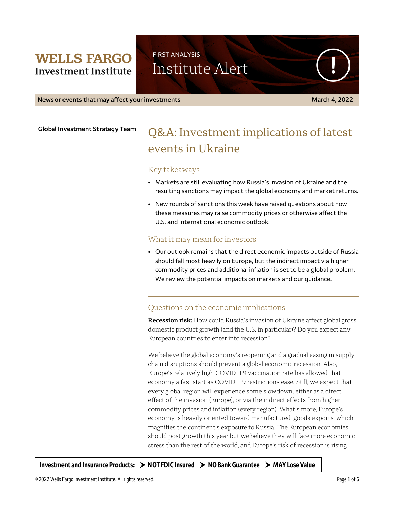# **WELLS FARGO Investment Institute**

Institute Alert

FIRST ANALYSIS

**News or events that may affect your investments March 4, 2022**

**Global Investment Strategy Team**

# Q&A: Investment implications of latest events in Ukraine

### Key takeaways

- Markets are still evaluating how Russia's invasion of Ukraine and the resulting sanctions may impact the global economy and market returns.
- New rounds of sanctions this week have raised questions about how these measures may raise commodity prices or otherwise affect the U.S. and international economic outlook.

### What it may mean for investors

• Our outlook remains that the direct economic impacts outside of Russia should fall most heavily on Europe, but the indirect impact via higher commodity prices and additional inflation is set to be a global problem. We review the potential impacts on markets and our guidance.

### Questions on the economic implications

**Recession risk:** How could Russia's invasion of Ukraine affect global gross domestic product growth (and the U.S. in particular)? Do you expect any European countries to enter into recession?

We believe the global economy's reopening and a gradual easing in supplychain disruptions should prevent a global economic recession. Also, Europe's relatively high COVID-19 vaccination rate has allowed that economy a fast start as COVID-19 restrictions ease. Still, we expect that every global region will experience some slowdown, either as a direct effect of the invasion (Europe), or via the indirect effects from higher commodity prices and inflation (every region). What's more, Europe's economy is heavily oriented toward manufactured-goods exports, which magnifies the continent's exposure to Russia. The European economies should post growth this year but we believe they will face more economic stress than the rest of the world, and Europe's risk of recession is rising.

**Investment and Insurance Products: NOT FDIC Insured NO Bank Guarantee MAY Lose Value**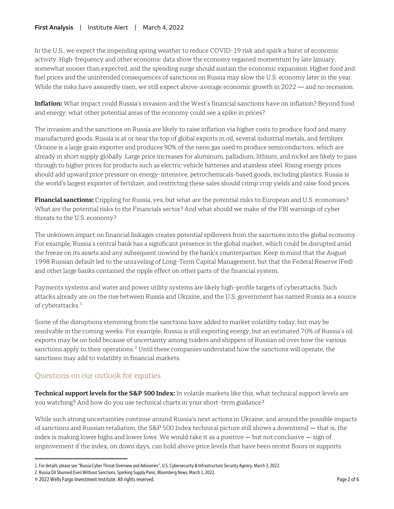#### **First Analysis** | Institute Alert | March 4, 2022

In the U.S., we expect the impending spring weather to reduce COVID-19 risk and spark a burst of economic activity. High-frequency and other economic data show the economy regained momentum by late January, somewhat sooner than expected, and the spending surge should sustain the economic expansion. Higher food and fuel prices and the unintended consequences of sanctions on Russia may slow the U.S. economy later in the year. While the risks have assuredly risen, we still expect above-average economic growth in 2022 — and no recession.

**Inflation:** What impact could Russia's invasion and the West's financial sanctions have on inflation? Beyond food and energy, what other potential areas of the economy could see a spike in prices?

The invasion and the sanctions on Russia are likely to raise inflation via higher costs to produce food and many manufactured goods. Russia is at or near the top of global exports in oil, several industrial metals, and fertilizer. Ukraine is a large grain exporter and produces 90% of the neon gas used to produce semiconductors, which are already in short supply globally. Large price increases for aluminum, palladium, lithium, and nickel are likely to pass through to higher prices for products such as electric vehicle batteries and stainless steel. Rising energy prices should add upward price pressure on energy-intensive, petrochemicals-based goods, including plastics. Russia is the world's largest exporter of fertilizer, and restricting these sales should crimp crop yields and raise food prices.

**Financial sanctions:** Crippling for Russia, yes, but what are the potential risks to European and U.S. economies? What are the potential risks to the Financials sector? And what should we make of the FBI warnings of cyber threats to the U.S. economy?

The unknown impact on financial linkages creates potential spillovers from the sanctions into the global economy. For example, Russia's central bank has a significant presence in the global market, which could be disrupted amid the freeze on its assets and any subsequent unwind by the bank's counterparties. Keep in mind that the August 1998 Russian default led to the unraveling of Long-Term Capital Management, but that the Federal Reserve (Fed) and other large banks contained the ripple effect on other parts of the financial system.

Payments systems and water and power utility systems are likely high-profile targets of cyberattacks. Such attacks already are on the rise between Russia and Ukraine, and the U.S. government has named Russia as a source of cyberattacks.<sup>[1](#page-1-0)</sup>

Some of the disruptions stemming from the sanctions have added to market volatility today, but may be resolvable in the coming weeks. For example, Russia is still exporting energy, but an estimated 70% of Russia's oil exports may be on hold because of uncertainty among traders and shippers of Russian oil over how the various sanctions apply to their operations.<sup>[2](#page-1-1)</sup> Until these companies understand how the sanctions will operate, the sanctions may add to volatility in financial markets.

## Questions on our outlook for equities

**Technical support levels for the S&P 500 Index:** In volatile markets like this, what technical support levels are you watching? And how do you use technical charts in your short-term guidance?

While such strong uncertainties continue around Russia's next actions in Ukraine, and around the possible impacts of sanctions and Russian retaliation, the S&P 500 Index technical picture still shows a downtrend — that is, the index is making lower highs and lower lows. We would take it as a positive  $-$  but not conclusive  $-$  sign of improvement if the index, on down days, can hold above price levels that have been recent floors or supports

 $\overline{a}$ 

<span id="page-1-0"></span><sup>1.</sup> For details, please see "Russia Cyber Threat Overview and Advisories", U.S. Cybersecurity & Infrastructure Security Agency, March 3, 2022.

<span id="page-1-1"></span><sup>2.</sup> Russia Oil Shunned Even Without Sanctions, Sparking Supply Panic, Bloomberg News, March 1, 2022.

<sup>© 2022</sup> Wells Fargo Investment Institute. All rights reserved. Page 2 of 6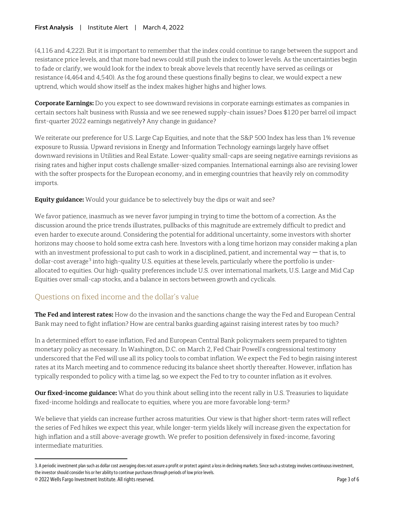### **First Analysis** | Institute Alert | March 4, 2022

(4,116 and 4,222). But it is important to remember that the index could continue to range between the support and resistance price levels, and that more bad news could still push the index to lower levels. As the uncertainties begin to fade or clarify, we would look for the index to break above levels that recently have served as ceilings or resistance (4,464 and 4,540). As the fog around these questions finally begins to clear, we would expect a new uptrend, which would show itself as the index makes higher highs and higher lows.

**Corporate Earnings:** Do you expect to see downward revisions in corporate earnings estimates as companies in certain sectors halt business with Russia and we see renewed supply-chain issues? Does \$120 per barrel oil impact first-quarter 2022 earnings negatively? Any change in guidance?

We reiterate our preference for U.S. Large Cap Equities, and note that the S&P 500 Index has less than 1% revenue exposure to Russia. Upward revisions in Energy and Information Technology earnings largely have offset downward revisions in Utilities and Real Estate. Lower-quality small-caps are seeing negative earnings revisions as rising rates and higher input costs challenge smaller-sized companies. International earnings also are revising lower with the softer prospects for the European economy, and in emerging countries that heavily rely on commodity imports.

**Equity guidance:** Would your guidance be to selectively buy the dips or wait and see?

We favor patience, inasmuch as we never favor jumping in trying to time the bottom of a correction. As the discussion around the price trends illustrates, pullbacks of this magnitude are extremely difficult to predict and even harder to execute around. Considering the potential for additional uncertainty, some investors with shorter horizons may choose to hold some extra cash here. Investors with a long time horizon may consider making a plan with an investment professional to put cash to work in a disciplined, patient, and incremental way — that is, to dollar-cost average<sup>[3](#page-2-0)</sup> into high-quality U.S. equities at these levels, particularly where the portfolio is underallocated to equities. Our high-quality preferences include U.S. over international markets, U.S. Large and Mid Cap Equities over small-cap stocks, and a balance in sectors between growth and cyclicals.

### Questions on fixed income and the dollar's value

**The Fed and interest rates:** How do the invasion and the sanctions change the way the Fed and European Central Bank may need to fight inflation? How are central banks guarding against raising interest rates by too much?

In a determined effort to ease inflation, Fed and European Central Bank policymakers seem prepared to tighten monetary policy as necessary. In Washington, D.C. on March 2, Fed Chair Powell's congressional testimony underscored that the Fed will use all its policy tools to combat inflation. We expect the Fed to begin raising interest rates at its March meeting and to commence reducing its balance sheet shortly thereafter. However, inflation has typically responded to policy with a time lag, so we expect the Fed to try to counter inflation as it evolves.

**Our fixed-income guidance:** What do you think about selling into the recent rally in U.S. Treasuries to liquidate fixed-income holdings and reallocate to equities, where you are more favorable long-term?

We believe that yields can increase further across maturities. Our view is that higher short-term rates will reflect the series of Fed hikes we expect this year, while longer-term yields likely will increase given the expectation for high inflation and a still above-average growth. We prefer to position defensively in fixed-income, favoring intermediate maturities.

 $\overline{a}$ 

<span id="page-2-0"></span><sup>3.</sup> A periodic investment plan such as dollar cost averaging does not assure a profit or protect against a loss in declining markets. Since such a strategy involves continuous investment, the investor should consider his or her ability to continue purchases through periods of low price levels.

<sup>© 2022</sup> Wells Fargo Investment Institute. All rights reserved. Page 3 of 6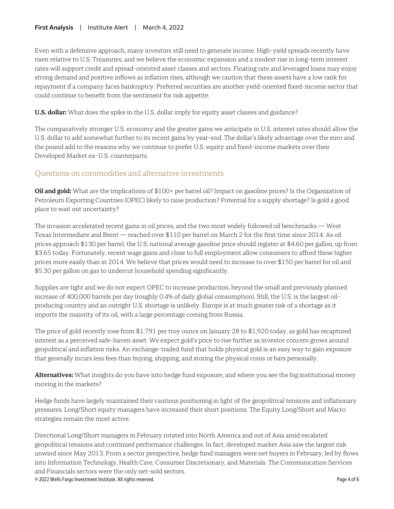Even with a defensive approach, many investors still need to generate income. High-yield spreads recently have risen relative to U.S. Treasuries, and we believe the economic expansion and a modest rise in long-term interest rates will support credit and spread-oriented asset classes and sectors. Floating rate and leveraged loans may enjoy strong demand and positive inflows as inflation rises, although we caution that these assets have a low rank for repayment if a company faces bankruptcy. Preferred securities are another yield-oriented fixed-income sector that could continue to benefit from the sentiment for risk appetite.

**U.S. dollar:** What does the spike in the U.S. dollar imply for equity asset classes and guidance?

The comparatively stronger U.S. economy and the greater gains we anticipate in U.S. interest rates should allow the U.S. dollar to add somewhat further to its recent gains by year-end. The dollar's likely advantage over the euro and the pound add to the reasons why we continue to prefer U.S. equity and fixed-income markets over their Developed Market ex-U.S. counterparts.

## Questions on commodities and alternative investments

**Oil and gold:** What are the implications of \$100+ per barrel oil? Impact on gasoline prices? Is the Organization of Petroleum Exporting Countries (OPEC) likely to raise production? Potential for a supply shortage? Is gold a good place to wait out uncertainty?

The invasion accelerated recent gains in oil prices, and the two most widely followed oil benchmarks — West Texas Intermediate and Brent — reached over \$110 per barrel on March 2 for the first time since 2014. As oil prices approach \$130 per barrel, the U.S. national average gasoline price should register at \$4.60 per gallon, up from \$3.65 today. Fortunately, recent wage gains and close to full employment allow consumers to afford these higher prices more easily than in 2014. We believe that prices would need to increase to over \$150 per barrel for oil and \$5.30 per gallon on gas to undercut household spending significantly.

Supplies are tight and we do not expect OPEC to increase production, beyond the small and previously planned increase of 400,000 barrels per day (roughly 0.4% of daily global consumption). Still, the U.S. is the largest oilproducing country and an outright U.S. shortage is unlikely. Europe is at much greater risk of a shortage as it imports the majority of its oil, with a large percentage coming from Russia.

The price of gold recently rose from \$1,791 per troy ounce on January 28 to \$1,920 today, as gold has recaptured interest as a perceived safe-haven asset. We expect gold's price to rise further as investor concern grows around geopolitical and inflation risks. An exchange-traded fund that holds physical gold is an easy way to gain exposure that generally incurs less fees than buying, shipping, and storing the physical coins or bars personally.

**Alternatives:** What insights do you have into hedge fund exposure, and where you see the big institutional money moving in the markets?

Hedge funds have largely maintained their cautious positioning in light of the geopolitical tensions and inflationary pressures. Long/Short equity managers have increased their short positions. The Equity Long/Short and Macro strategies remain the most active.

© 2022 Wells Fargo Investment Institute. All rights reserved. Page 4 of 6 Directional Long/Short managers in February rotated into North America and out of Asia amid escalated geopolitical tensions and continued performance challenges. In fact, developed market Asia saw the largest risk unwind since May 2013. From a sector perspective, hedge fund managers were net buyers in February, led by flows into Information Technology, Health Care, Consumer Discretionary, and Materials. The Communication Services and Financials sectors were the only net-sold sectors.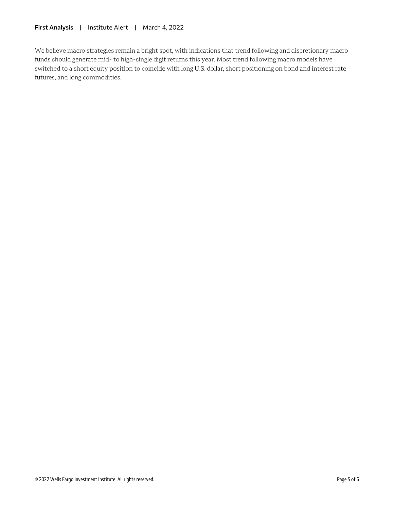We believe macro strategies remain a bright spot, with indications that trend following and discretionary macro funds should generate mid- to high-single digit returns this year. Most trend following macro models have switched to a short equity position to coincide with long U.S. dollar, short positioning on bond and interest rate futures, and long commodities.